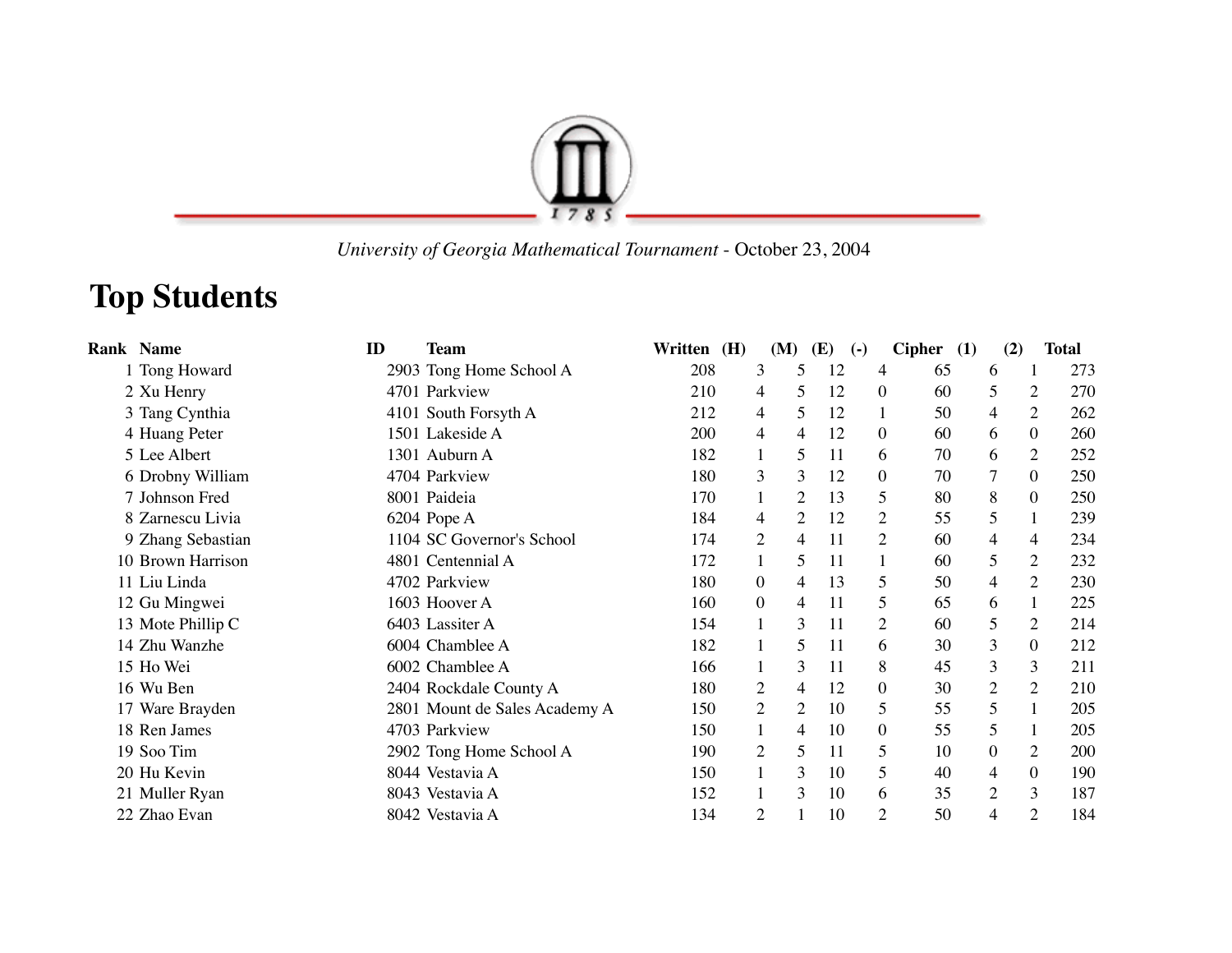

 *University of Georgia Mathematical Tournament* - October 23, 2004

## **Top Students**

| <b>Rank Name</b>  | ID | <b>Team</b>                   | Written | (H) |                  | (M)            | (E) | $\left( -\right)$ | Cipher $(1)$ | (2)            |                  | <b>Total</b> |
|-------------------|----|-------------------------------|---------|-----|------------------|----------------|-----|-------------------|--------------|----------------|------------------|--------------|
| 1 Tong Howard     |    | 2903 Tong Home School A       | 208     |     | 3                | 5              | 12  | 4                 | 65           | 6              | -1               | 273          |
| 2 Xu Henry        |    | 4701 Parkview                 | 210     |     | 4                | 5              | 12  | $\boldsymbol{0}$  | 60           | 5              | $\overline{2}$   | 270          |
| 3 Tang Cynthia    |    | 4101 South Forsyth A          | 212     |     | 4                | 5              | 12  |                   | 50           | 4              | 2                | 262          |
| 4 Huang Peter     |    | 1501 Lakeside A               | 200     |     | 4                | 4              | 12  | $\boldsymbol{0}$  | 60           | 6              | $\boldsymbol{0}$ | 260          |
| 5 Lee Albert      |    | 1301 Auburn A                 | 182     |     |                  | 5              | 11  | 6                 | 70           | 6              | $\overline{2}$   | 252          |
| 6 Drobny William  |    | 4704 Parkview                 | 180     |     | 3                | 3              | 12  | $\boldsymbol{0}$  | 70           | $\overline{7}$ | $\boldsymbol{0}$ | 250          |
| 7 Johnson Fred    |    | 8001 Paideia                  | 170     |     |                  | 2              | 13  | 5                 | 80           | 8              | $\boldsymbol{0}$ | 250          |
| 8 Zarnescu Livia  |    | 6204 Pope A                   | 184     |     | 4                | 2              | 12  | $\overline{c}$    | 55           | 5              | 1                | 239          |
| 9 Zhang Sebastian |    | 1104 SC Governor's School     | 174     |     | $\mathfrak{2}$   | 4              | 11  | $\overline{2}$    | 60           | 4              | 4                | 234          |
| 10 Brown Harrison |    | 4801 Centennial A             | 172     |     |                  | 5              | 11  |                   | 60           | 5              | $\overline{2}$   | 232          |
| 11 Liu Linda      |    | 4702 Parkview                 | 180     |     | $\boldsymbol{0}$ | 4              | 13  | 5                 | 50           | 4              | 2                | 230          |
| 12 Gu Mingwei     |    | 1603 Hoover A                 | 160     |     | $\boldsymbol{0}$ | 4              | 11  | 5                 | 65           | 6              | 1                | 225          |
| 13 Mote Phillip C |    | 6403 Lassiter A               | 154     |     |                  | 3              | 11  | $\overline{c}$    | 60           | 5              | $\overline{2}$   | 214          |
| 14 Zhu Wanzhe     |    | 6004 Chamblee A               | 182     |     |                  | 5              | 11  | 6                 | 30           | 3              | $\boldsymbol{0}$ | 212          |
| 15 Ho Wei         |    | 6002 Chamblee A               | 166     |     |                  | 3              | 11  | 8                 | 45           | 3              | $\overline{3}$   | 211          |
| 16 Wu Ben         |    | 2404 Rockdale County A        | 180     |     | $\overline{c}$   | 4              | 12  | $\boldsymbol{0}$  | 30           | 2              | 2                | 210          |
| 17 Ware Brayden   |    | 2801 Mount de Sales Academy A | 150     |     | $\mathbf{2}$     | $\overline{2}$ | 10  | 5                 | 55           | 5              | 1                | 205          |
| 18 Ren James      |    | 4703 Parkview                 | 150     |     |                  | 4              | 10  | $\boldsymbol{0}$  | 55           | 5              | 1                | 205          |
| 19 Soo Tim        |    | 2902 Tong Home School A       | 190     |     | $\overline{c}$   | 5              | 11  | 5                 | 10           | $\overline{0}$ | $\overline{2}$   | 200          |
| 20 Hu Kevin       |    | 8044 Vestavia A               | 150     |     |                  | 3              | 10  | 5                 | 40           | 4              | $\boldsymbol{0}$ | 190          |
| 21 Muller Ryan    |    | 8043 Vestavia A               | 152     |     |                  | 3              | 10  | 6                 | 35           | $\overline{2}$ | 3                | 187          |
| 22 Zhao Evan      |    | 8042 Vestavia A               | 134     |     | $\overline{c}$   |                | 10  | 2                 | 50           | 4              | $\overline{2}$   | 184          |